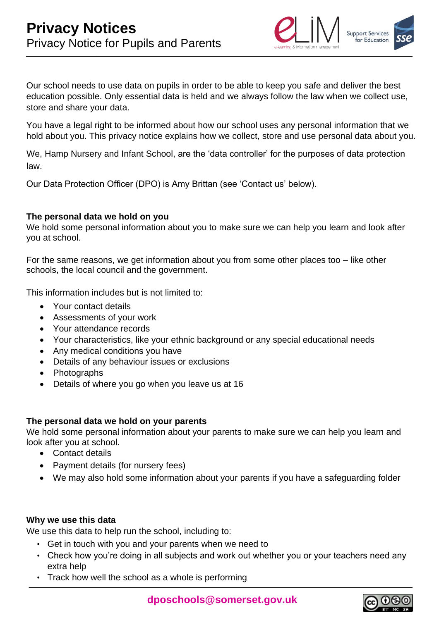

Our school needs to use data on pupils in order to be able to keep you safe and deliver the best education possible. Only essential data is held and we always follow the law when we collect use, store and share your data.

You have a legal right to be informed about how our school uses any personal information that we hold about you. This privacy notice explains how we collect, store and use personal data about you.

We, Hamp Nursery and Infant School, are the 'data controller' for the purposes of data protection law.

Our Data Protection Officer (DPO) is Amy Brittan (see 'Contact us' below).

# **The personal data we hold on you**

We hold some personal information about you to make sure we can help you learn and look after you at school.

For the same reasons, we get information about you from some other places too – like other schools, the local council and the government.

This information includes but is not limited to:

- Your contact details
- Assessments of your work
- Your attendance records
- Your characteristics, like your ethnic background or any special educational needs
- Any medical conditions you have
- Details of any behaviour issues or exclusions
- Photographs
- Details of where you go when you leave us at 16

#### **The personal data we hold on your parents**

We hold some personal information about your parents to make sure we can help you learn and look after you at school.

- Contact details
- Payment details (for nursery fees)
- We may also hold some information about your parents if you have a safeguarding folder

# **Why we use this data**

We use this data to help run the school, including to:

- Get in touch with you and your parents when we need to
- Check how you're doing in all subjects and work out whether you or your teachers need any extra help
- Track how well the school as a whole is performing

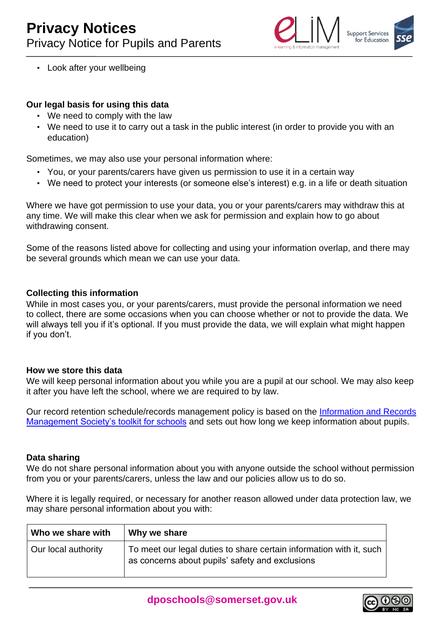

• Look after your wellbeing

# **Our legal basis for using this data**

- We need to comply with the law
- We need to use it to carry out a task in the public interest (in order to provide you with an education)

Sometimes, we may also use your personal information where:

- You, or your parents/carers have given us permission to use it in a certain way
- We need to protect your interests (or someone else's interest) e.g. in a life or death situation

Where we have got permission to use your data, you or your parents/carers may withdraw this at any time. We will make this clear when we ask for permission and explain how to go about withdrawing consent.

Some of the reasons listed above for collecting and using your information overlap, and there may be several grounds which mean we can use your data.

#### **Collecting this information**

While in most cases you, or your parents/carers, must provide the personal information we need to collect, there are some occasions when you can choose whether or not to provide the data. We will always tell you if it's optional. If you must provide the data, we will explain what might happen if you don't.

#### **How we store this data**

We will keep personal information about you while you are a pupil at our school. We may also keep it after you have left the school, where we are required to by law.

Our record retention schedule/records management policy is based on the [Information and Records](http://irms.org.uk/?page=schoolstoolkit&terms=%22toolkit+and+schools%22) [Management Society's toolkit for schools](http://irms.org.uk/?page=schoolstoolkit&terms=%22toolkit+and+schools%22) [a](http://irms.org.uk/?page=schoolstoolkit&terms=%22toolkit+and+schools%22)nd sets out how long we keep information about pupils.

#### **Data sharing**

We do not share personal information about you with anyone outside the school without permission from you or your parents/carers, unless the law and our policies allow us to do so.

Where it is legally required, or necessary for another reason allowed under data protection law, we may share personal information about you with:

| Who we share with   | Why we share                                                                                                           |
|---------------------|------------------------------------------------------------------------------------------------------------------------|
| Our local authority | To meet our legal duties to share certain information with it, such<br>as concerns about pupils' safety and exclusions |

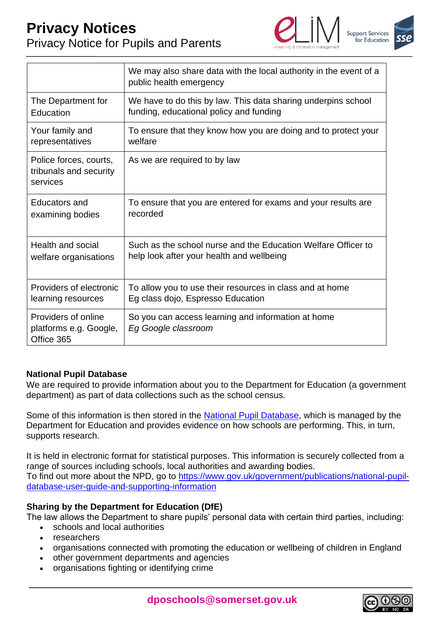# **Privacy Notices** Privacy Notice for Pupils and Parents





|                                                              | We may also share data with the local authority in the event of a<br>public health emergency |
|--------------------------------------------------------------|----------------------------------------------------------------------------------------------|
| The Department for                                           | We have to do this by law. This data sharing underpins school                                |
| Education                                                    | funding, educational policy and funding                                                      |
| Your family and                                              | To ensure that they know how you are doing and to protect your                               |
| representatives                                              | welfare                                                                                      |
| Police forces, courts,<br>tribunals and security<br>services | As we are required to by law                                                                 |
| Educators and                                                | To ensure that you are entered for exams and your results are                                |
| examining bodies                                             | recorded                                                                                     |
| Health and social                                            | Such as the school nurse and the Education Welfare Officer to                                |
| welfare organisations                                        | help look after your health and wellbeing                                                    |
| Providers of electronic                                      | To allow you to use their resources in class and at home                                     |
| learning resources                                           | Eg class dojo, Espresso Education                                                            |
| Providers of online<br>platforms e.g. Google,<br>Office 365  | So you can access learning and information at home<br>Eg Google classroom                    |

# **National Pupil Database**

We are required to provide information about you to the Department for Education (a government department) as part of data collections such as the school census.

Some of this information is then stored in the [National Pupil Database,](https://www.gov.uk/government/publications/national-pupil-database-user-guide-and-supporting-information) which is managed by the Department for Education and provides evidence on how schools are performing. This, in turn, supports research.

It is held in electronic format for statistical purposes. This information is securely collected from a range of sources including schools, local authorities and awarding bodies. To find out more about the NPD, go to [https://www.gov.uk/government/publications/national-pupil](https://www.gov.uk/government/publications/national-pupil-database-user-guide-and-supporting-information)[database-user-guide-and-supporting-information](https://www.gov.uk/government/publications/national-pupil-database-user-guide-and-supporting-information)

# **Sharing by the Department for Education (DfE)**

The law allows the Department to share pupils' personal data with certain third parties, including:

- schools and local authorities
- researchers
- organisations connected with promoting the education or wellbeing of children in England
- other government departments and agencies
- organisations fighting or identifying crime

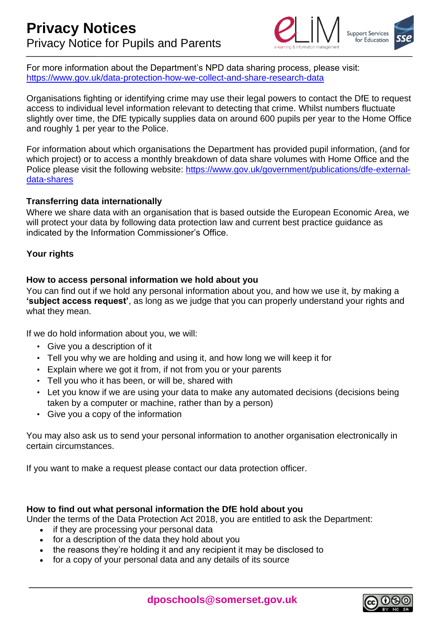

For more information about the Department's NPD data sharing process, please visit: <https://www.gov.uk/data-protection-how-we-collect-and-share-research-data>

Organisations fighting or identifying crime may use their legal powers to contact the DfE to request access to individual level information relevant to detecting that crime. Whilst numbers fluctuate slightly over time, the DfE typically supplies data on around 600 pupils per year to the Home Office and roughly 1 per year to the Police.

For information about which organisations the Department has provided pupil information, (and for which project) or to access a monthly breakdown of data share volumes with Home Office and the Police please visit the following website: [https://www.gov.uk/government/publications/dfe-external](https://www.gov.uk/government/publications/dfe-external-data-shares)[data-shares](https://www.gov.uk/government/publications/dfe-external-data-shares)

#### **Transferring data internationally**

Where we share data with an organisation that is based outside the European Economic Area, we will protect your data by following data protection law and current best practice guidance as indicated by the Information Commissioner's Office.

# **Your rights**

# **How to access personal information we hold about you**

You can find out if we hold any personal information about you, and how we use it, by making a **'subject access request'**, as long as we judge that you can properly understand your rights and what they mean.

If we do hold information about you, we will:

- Give you a description of it
- Tell you why we are holding and using it, and how long we will keep it for
- Explain where we got it from, if not from you or your parents
- Tell you who it has been, or will be, shared with
- Let you know if we are using your data to make any automated decisions (decisions being taken by a computer or machine, rather than by a person)
- Give you a copy of the information

You may also ask us to send your personal information to another organisation electronically in certain circumstances.

If you want to make a request please contact our data protection officer.

#### **How to find out what personal information the DfE hold about you**

Under the terms of the Data Protection Act 2018, you are entitled to ask the Department:

- if they are processing your personal data
- for a description of the data they hold about you
- the reasons they're holding it and any recipient it may be disclosed to
- for a copy of your personal data and any details of its source

**dposchools@somerset.gov.uk**